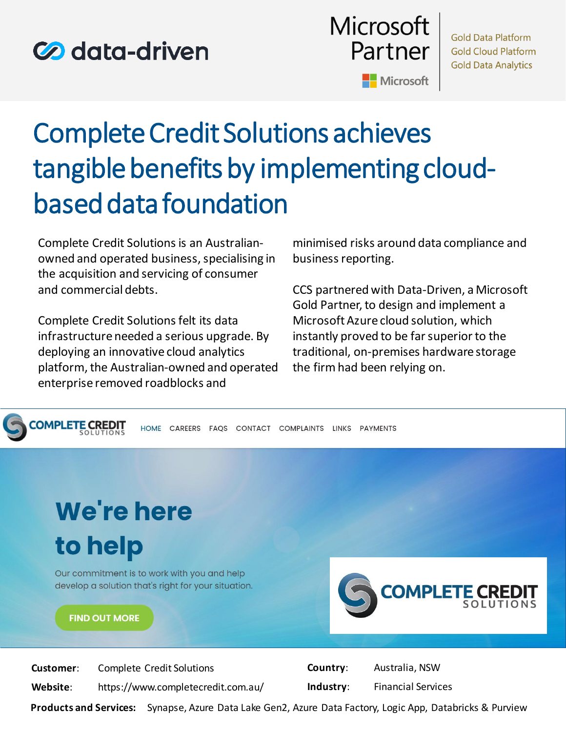## **Co** data-driven



# Complete Credit Solutions achieves tangible benefits by implementing cloudbased data foundation

Complete Credit Solutions is an Australianowned and operated business, specialising in the acquisition and servicing of consumer and commercial debts.

Complete Credit Solutions felt its data infrastructure needed a serious upgrade. By deploying an innovative cloud analytics platform, the Australian-owned and operated enterprise removed roadblocks and

minimised risks around data compliance and business reporting.

CCS partnered with Data-Driven, a Microsoft Gold Partner, to design and implement a Microsoft Azure cloud solution, which instantly proved to be far superior to the traditional, on-premises hardware storage the firm had been relying on.



**Products and Services:** Synapse, Azure Data Lake Gen2, Azure Data Factory, Logic App, Databricks & Purview